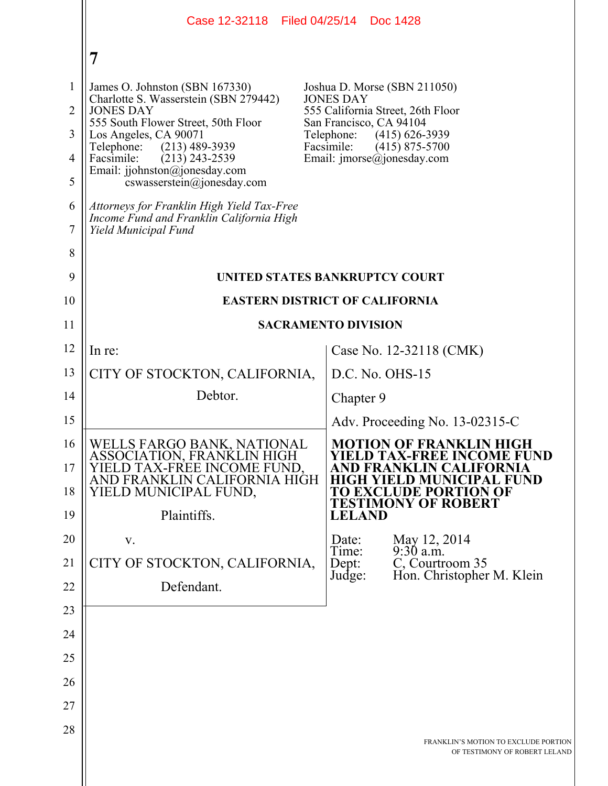|                                                                   | Case 12-32118 Filed 04/25/14                                                                                                                                                                                                                                                                                                                                                                                     |                                                                         | Doc 1428                                                                                                                                                               |
|-------------------------------------------------------------------|------------------------------------------------------------------------------------------------------------------------------------------------------------------------------------------------------------------------------------------------------------------------------------------------------------------------------------------------------------------------------------------------------------------|-------------------------------------------------------------------------|------------------------------------------------------------------------------------------------------------------------------------------------------------------------|
|                                                                   | $\overline{7}$                                                                                                                                                                                                                                                                                                                                                                                                   |                                                                         |                                                                                                                                                                        |
| $\mathbf{1}$<br>2<br>3<br>$\overline{4}$<br>5<br>6<br>7<br>8<br>9 | James O. Johnston (SBN 167330)<br>Charlotte S. Wasserstein (SBN 279442)<br><b>JONES DAY</b><br>555 South Flower Street, 50th Floor<br>Los Angeles, CA 90071<br>$(213)$ 489-3939<br>Telephone:<br>Facsimile:<br>$(213)$ 243-2539<br>Email: jjohnston@jonesday.com<br>cswasserstein@jonesday.com<br>Attorneys for Franklin High Yield Tax-Free<br>Income Fund and Franklin California High<br>Yield Municipal Fund | <b>JONES DAY</b><br>San Francisco, CA 94104<br>Telephone:<br>Facsimile: | Joshua D. Morse (SBN 211050)<br>555 California Street, 26th Floor<br>$(415)$ 626-3939<br>$(415)$ 875-5700<br>Email: imorse@jonesday.com                                |
| 10                                                                | UNITED STATES BANKRUPTCY COURT<br><b>EASTERN DISTRICT OF CALIFORNIA</b>                                                                                                                                                                                                                                                                                                                                          |                                                                         |                                                                                                                                                                        |
| 11                                                                | <b>SACRAMENTO DIVISION</b>                                                                                                                                                                                                                                                                                                                                                                                       |                                                                         |                                                                                                                                                                        |
| 12                                                                | In re:                                                                                                                                                                                                                                                                                                                                                                                                           |                                                                         | Case No. 12-32118 (CMK)                                                                                                                                                |
| 13                                                                | CITY OF STOCKTON, CALIFORNIA,                                                                                                                                                                                                                                                                                                                                                                                    |                                                                         | $D.C. No. OHS-15$                                                                                                                                                      |
| 14                                                                | Debtor.                                                                                                                                                                                                                                                                                                                                                                                                          | Chapter 9                                                               |                                                                                                                                                                        |
| 15                                                                |                                                                                                                                                                                                                                                                                                                                                                                                                  |                                                                         | Adv. Proceeding No. 13-02315-C                                                                                                                                         |
| 16<br>17<br>18<br>19                                              | WELLS FARGO BANK, NATIONAL<br>ASSOCIATION, FRANKLIN HIGH<br>D TAX-FREE INCOME FUND.<br>AND FRANKLIN CALIFORNIA HIGH<br>YIELD MUNICIPAL FUND,<br>Plaintiffs.                                                                                                                                                                                                                                                      | <b>LELAND</b>                                                           | <b>MOTION OF FRANKLIN HIGH</b><br><b>YIELD TAX-FREE INCOME FUND</b><br><b>FORNIA</b><br><b>D MUNICIPAL FUND</b><br>TO EXCLUDE PORTION OF<br><b>TESTIMONY OF ROBERT</b> |
| 20                                                                | V.                                                                                                                                                                                                                                                                                                                                                                                                               | Date:                                                                   | May 12, 2014                                                                                                                                                           |
| 21                                                                | CITY OF STOCKTON, CALIFORNIA,                                                                                                                                                                                                                                                                                                                                                                                    | Time:<br>Dept:                                                          | $9:30$ a.m.<br>C, Courtroom 35                                                                                                                                         |
| 22                                                                | Defendant.                                                                                                                                                                                                                                                                                                                                                                                                       | Judge:                                                                  | Hon. Christopher M. Klein                                                                                                                                              |
| 23                                                                |                                                                                                                                                                                                                                                                                                                                                                                                                  |                                                                         |                                                                                                                                                                        |
| 24                                                                |                                                                                                                                                                                                                                                                                                                                                                                                                  |                                                                         |                                                                                                                                                                        |
| 25                                                                |                                                                                                                                                                                                                                                                                                                                                                                                                  |                                                                         |                                                                                                                                                                        |
| 26                                                                |                                                                                                                                                                                                                                                                                                                                                                                                                  |                                                                         |                                                                                                                                                                        |
| 27                                                                |                                                                                                                                                                                                                                                                                                                                                                                                                  |                                                                         |                                                                                                                                                                        |
| 28                                                                |                                                                                                                                                                                                                                                                                                                                                                                                                  |                                                                         | FRANKLIN'S MOTION TO EXCLUDE PORTION<br>OF TESTIMONY OF ROBERT LELAND                                                                                                  |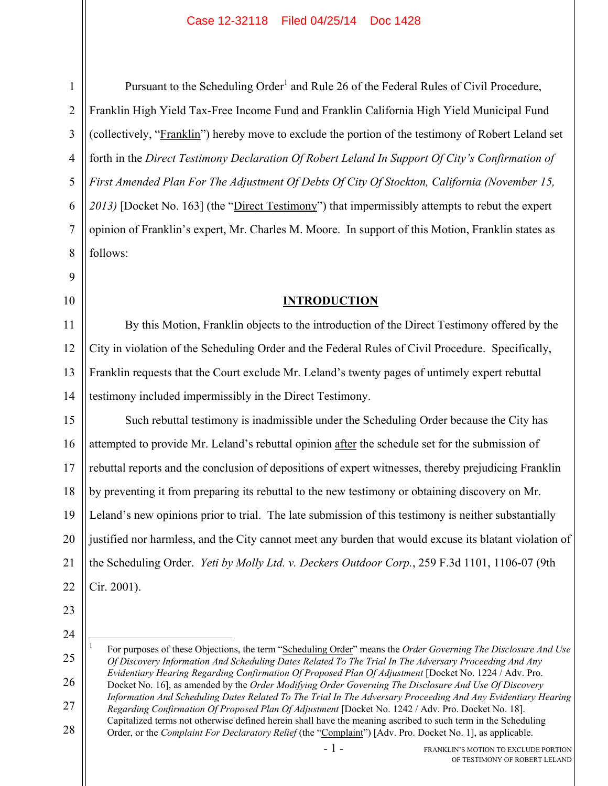1

Pursuant to the Scheduling Order<sup>1</sup> and Rule 26 of the Federal Rules of Civil Procedure, Franklin High Yield Tax-Free Income Fund and Franklin California High Yield Municipal Fund (collectively, "Franklin") hereby move to exclude the portion of the testimony of Robert Leland set forth in the *Direct Testimony Declaration Of Robert Leland In Support Of City's Confirmation of First Amended Plan For The Adjustment Of Debts Of City Of Stockton, California (November 15, 2013)* [Docket No. 163] (the "Direct Testimony") that impermissibly attempts to rebut the expert opinion of Franklin's expert, Mr. Charles M. Moore. In support of this Motion, Franklin states as follows:

### **INTRODUCTION**

14 By this Motion, Franklin objects to the introduction of the Direct Testimony offered by the City in violation of the Scheduling Order and the Federal Rules of Civil Procedure. Specifically, Franklin requests that the Court exclude Mr. Leland's twenty pages of untimely expert rebuttal testimony included impermissibly in the Direct Testimony.

15 16 17 18 19 20 21 22 Such rebuttal testimony is inadmissible under the Scheduling Order because the City has attempted to provide Mr. Leland's rebuttal opinion after the schedule set for the submission of rebuttal reports and the conclusion of depositions of expert witnesses, thereby prejudicing Franklin by preventing it from preparing its rebuttal to the new testimony or obtaining discovery on Mr. Leland's new opinions prior to trial. The late submission of this testimony is neither substantially justified nor harmless, and the City cannot meet any burden that would excuse its blatant violation of the Scheduling Order. *Yeti by Molly Ltd. v. Deckers Outdoor Corp.*, 259 F.3d 1101, 1106-07 (9th Cir. 2001).

23 24

*Regarding Confirmation Of Proposed Plan Of Adjustment* [Docket No. 1242 / Adv. Pro. Docket No. 18].

28 Capitalized terms not otherwise defined herein shall have the meaning ascribed to such term in the Scheduling Order, or the *Complaint For Declaratory Relief* (the "Complaint") [Adv. Pro. Docket No. 1], as applicable.

<sup>25</sup> 26 27  $\overline{a}$ 1 For purposes of these Objections, the term "Scheduling Order" means the *Order Governing The Disclosure And Use Of Discovery Information And Scheduling Dates Related To The Trial In The Adversary Proceeding And Any Evidentiary Hearing Regarding Confirmation Of Proposed Plan Of Adjustment* [Docket No. 1224 / Adv. Pro. Docket No. 16], as amended by the *Order Modifying Order Governing The Disclosure And Use Of Discovery Information And Scheduling Dates Related To The Trial In The Adversary Proceeding And Any Evidentiary Hearing*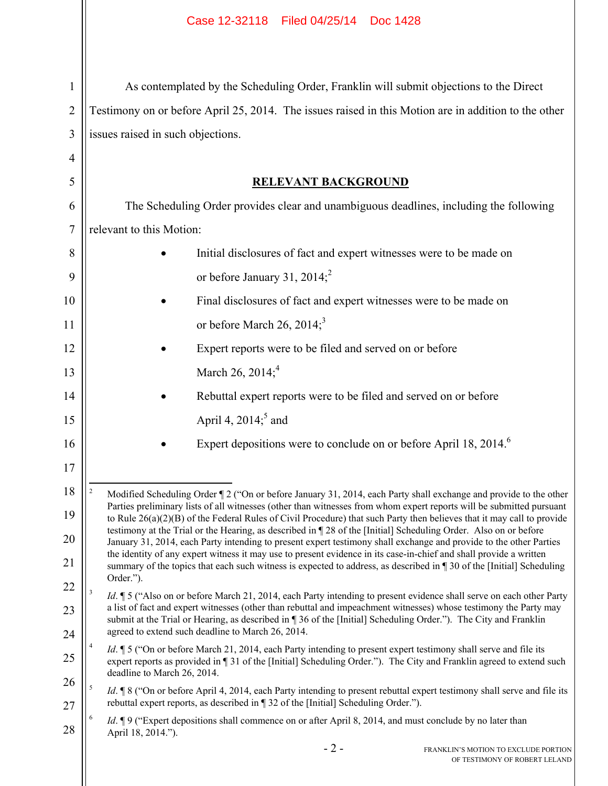| $\mathbf{1}$   | As contemplated by the Scheduling Order, Franklin will submit objections to the Direct                                                                                                                                                                  |  |  |  |  |
|----------------|---------------------------------------------------------------------------------------------------------------------------------------------------------------------------------------------------------------------------------------------------------|--|--|--|--|
| $\overline{2}$ | Testimony on or before April 25, 2014. The issues raised in this Motion are in addition to the other                                                                                                                                                    |  |  |  |  |
| 3              | issues raised in such objections.                                                                                                                                                                                                                       |  |  |  |  |
| 4              |                                                                                                                                                                                                                                                         |  |  |  |  |
| 5              | <b>RELEVANT BACKGROUND</b>                                                                                                                                                                                                                              |  |  |  |  |
| 6              | The Scheduling Order provides clear and unambiguous deadlines, including the following                                                                                                                                                                  |  |  |  |  |
| $\overline{7}$ | relevant to this Motion:                                                                                                                                                                                                                                |  |  |  |  |
| 8              | Initial disclosures of fact and expert witnesses were to be made on                                                                                                                                                                                     |  |  |  |  |
| 9              | or before January 31, 2014; <sup>2</sup>                                                                                                                                                                                                                |  |  |  |  |
| 10             | Final disclosures of fact and expert witnesses were to be made on                                                                                                                                                                                       |  |  |  |  |
| 11             | or before March 26, 2014; <sup>3</sup>                                                                                                                                                                                                                  |  |  |  |  |
| 12             | Expert reports were to be filed and served on or before                                                                                                                                                                                                 |  |  |  |  |
| 13             | March 26, 2014; <sup>4</sup>                                                                                                                                                                                                                            |  |  |  |  |
| 14             | Rebuttal expert reports were to be filed and served on or before                                                                                                                                                                                        |  |  |  |  |
| 15             | April 4, $2014$ <sup>5</sup> and                                                                                                                                                                                                                        |  |  |  |  |
| 16             | Expert depositions were to conclude on or before April 18, 2014. <sup>6</sup>                                                                                                                                                                           |  |  |  |  |
| 17             |                                                                                                                                                                                                                                                         |  |  |  |  |
| 18             | $\overline{\mathbf{c}}$<br>Modified Scheduling Order ¶ 2 ("On or before January 31, 2014, each Party shall exchange and provide to the other                                                                                                            |  |  |  |  |
| 19             | Parties preliminary lists of all witnesses (other than witnesses from whom expert reports will be submitted pursuant<br>to Rule 26(a)(2)(B) of the Federal Rules of Civil Procedure) that such Party then believes that it may call to provide          |  |  |  |  |
| 20             | testimony at the Trial or the Hearing, as described in ¶ 28 of the [Initial] Scheduling Order. Also on or before<br>January 31, 2014, each Party intending to present expert testimony shall exchange and provide to the other Parties                  |  |  |  |  |
| 21             | the identity of any expert witness it may use to present evidence in its case-in-chief and shall provide a written<br>summary of the topics that each such witness is expected to address, as described in 130 of the [Initial] Scheduling<br>Order."). |  |  |  |  |
| 22             | 3<br><i>Id.</i> 15 ("Also on or before March 21, 2014, each Party intending to present evidence shall serve on each other Party                                                                                                                         |  |  |  |  |
| 23             | a list of fact and expert witnesses (other than rebuttal and impeachment witnesses) whose testimony the Party may<br>submit at the Trial or Hearing, as described in ¶ 36 of the [Initial] Scheduling Order."). The City and Franklin                   |  |  |  |  |
| 24             | agreed to extend such deadline to March 26, 2014.                                                                                                                                                                                                       |  |  |  |  |
| 25             | <i>Id.</i> 15 ("On or before March 21, 2014, each Party intending to present expert testimony shall serve and file its<br>expert reports as provided in 131 of the [Initial] Scheduling Order."). The City and Franklin agreed to extend such           |  |  |  |  |
| 26             | deadline to March 26, 2014.<br>5<br><i>Id.</i> <b>18</b> ("On or before April 4, 2014, each Party intending to present rebuttal expert testimony shall serve and file its                                                                               |  |  |  |  |
| 27             | rebuttal expert reports, as described in ¶ 32 of the [Initial] Scheduling Order.").<br>Id. ¶ 9 ("Expert depositions shall commence on or after April 8, 2014, and must conclude by no later than                                                        |  |  |  |  |
| 28             | April 18, 2014.").                                                                                                                                                                                                                                      |  |  |  |  |
|                | $-2-$<br>FRANKLIN'S MOTION TO EXCLUDE PORTION                                                                                                                                                                                                           |  |  |  |  |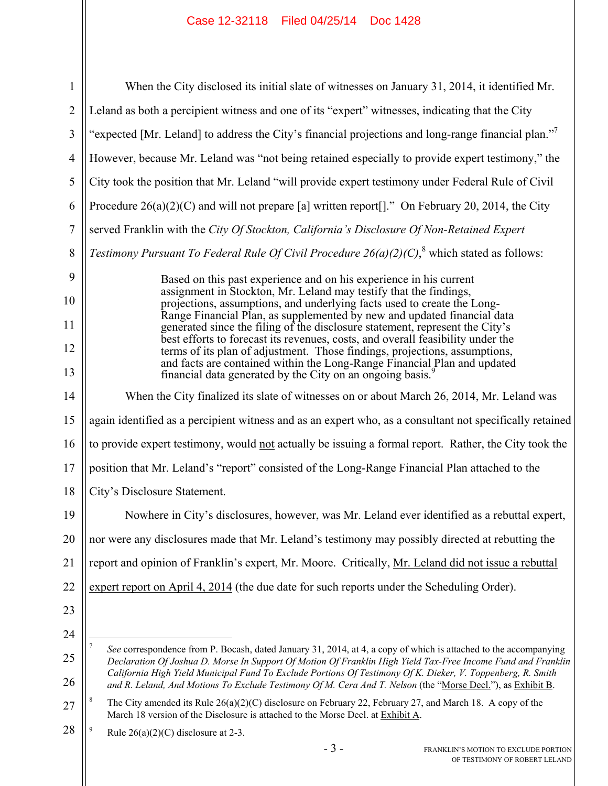# Case 12-32118 Filed 04/25/14 Doc 1428

| $\mathbf{1}$   | When the City disclosed its initial slate of witnesses on January 31, 2014, it identified Mr.                                                                                                                                                                                                                                              |  |  |
|----------------|--------------------------------------------------------------------------------------------------------------------------------------------------------------------------------------------------------------------------------------------------------------------------------------------------------------------------------------------|--|--|
| $\overline{2}$ | Leland as both a percipient witness and one of its "expert" witnesses, indicating that the City                                                                                                                                                                                                                                            |  |  |
| 3              | "expected [Mr. Leland] to address the City's financial projections and long-range financial plan."                                                                                                                                                                                                                                         |  |  |
| $\overline{4}$ | However, because Mr. Leland was "not being retained especially to provide expert testimony," the                                                                                                                                                                                                                                           |  |  |
| 5              | City took the position that Mr. Leland "will provide expert testimony under Federal Rule of Civil                                                                                                                                                                                                                                          |  |  |
| 6              | Procedure $26(a)(2)(C)$ and will not prepare [a] written report[]." On February 20, 2014, the City                                                                                                                                                                                                                                         |  |  |
| $\overline{7}$ | served Franklin with the City Of Stockton, California's Disclosure Of Non-Retained Expert                                                                                                                                                                                                                                                  |  |  |
| 8              | Testimony Pursuant To Federal Rule Of Civil Procedure $26(a)(2)(C)$ , <sup>8</sup> which stated as follows:                                                                                                                                                                                                                                |  |  |
| 9<br>10<br>11  | Based on this past experience and on his experience in his current<br>assignment in Stockton, Mr. Leland may testify that the findings,<br>projections, assumptions, and underlying facts used to create the Long-<br>Range Financial Plan, as supplemented by new and updated financial data                                              |  |  |
| 12             | generated since the filing of the disclosure statement, represent the City's<br>best efforts to forecast its revenues, costs, and overall feasibility under the                                                                                                                                                                            |  |  |
| 13             | terms of its plan of adjustment. Those findings, projections, assumptions,<br>and facts are contained within the Long-Range Financial Plan and updated financial data generated by the City on an ongoing basis. <sup>9</sup>                                                                                                              |  |  |
| 14             | When the City finalized its slate of witnesses on or about March 26, 2014, Mr. Leland was                                                                                                                                                                                                                                                  |  |  |
| 15             | again identified as a percipient witness and as an expert who, as a consultant not specifically retained                                                                                                                                                                                                                                   |  |  |
| 16             | to provide expert testimony, would not actually be issuing a formal report. Rather, the City took the                                                                                                                                                                                                                                      |  |  |
| 17             | position that Mr. Leland's "report" consisted of the Long-Range Financial Plan attached to the                                                                                                                                                                                                                                             |  |  |
| 18             | City's Disclosure Statement.                                                                                                                                                                                                                                                                                                               |  |  |
| 19             | Nowhere in City's disclosures, however, was Mr. Leland ever identified as a rebuttal expert,                                                                                                                                                                                                                                               |  |  |
| 20             | nor were any disclosures made that Mr. Leland's testimony may possibly directed at rebutting the                                                                                                                                                                                                                                           |  |  |
| 21             | report and opinion of Franklin's expert, Mr. Moore. Critically, Mr. Leland did not issue a rebuttal                                                                                                                                                                                                                                        |  |  |
| 22             | expert report on April 4, 2014 (the due date for such reports under the Scheduling Order).                                                                                                                                                                                                                                                 |  |  |
| 23             |                                                                                                                                                                                                                                                                                                                                            |  |  |
| 24             | See correspondence from P. Bocash, dated January 31, 2014, at 4, a copy of which is attached to the accompanying                                                                                                                                                                                                                           |  |  |
| 25<br>26       | Declaration Of Joshua D. Morse In Support Of Motion Of Franklin High Yield Tax-Free Income Fund and Franklin<br>California High Yield Municipal Fund To Exclude Portions Of Testimony Of K. Dieker, V. Toppenberg, R. Smith<br>and R. Leland, And Motions To Exclude Testimony Of M. Cera And T. Nelson (the "Morse Decl."), as Exhibit B. |  |  |
| 27             | 8<br>The City amended its Rule $26(a)(2)(C)$ disclosure on February 22, February 27, and March 18. A copy of the<br>March 18 version of the Disclosure is attached to the Morse Decl. at Exhibit A.                                                                                                                                        |  |  |
| 28             | 9<br>Rule $26(a)(2)(C)$ disclosure at 2-3.                                                                                                                                                                                                                                                                                                 |  |  |
|                | $-3-$<br>FRANKLIN'S MOTION TO EXCLUDE PORTION                                                                                                                                                                                                                                                                                              |  |  |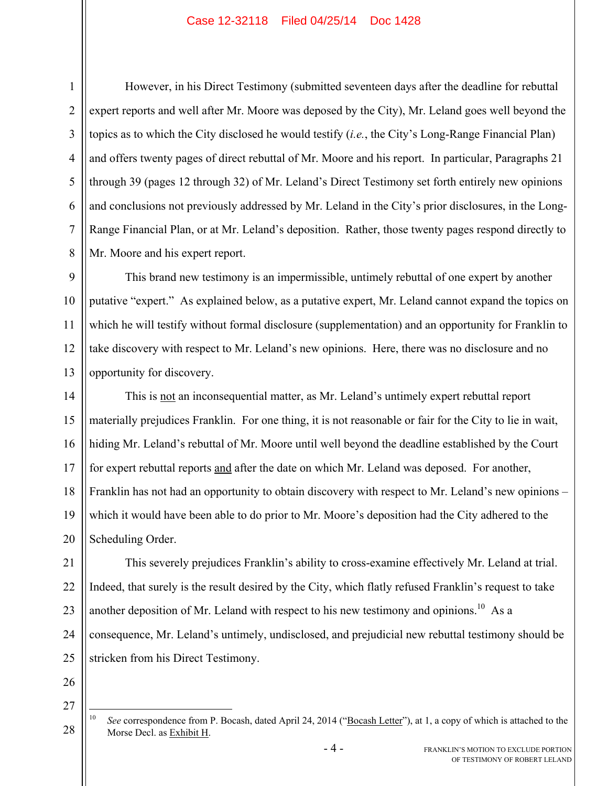#### Case 12-32118 Filed 04/25/14 Doc 1428

1 However, in his Direct Testimony (submitted seventeen days after the deadline for rebuttal expert reports and well after Mr. Moore was deposed by the City), Mr. Leland goes well beyond the topics as to which the City disclosed he would testify (*i.e.*, the City's Long-Range Financial Plan) and offers twenty pages of direct rebuttal of Mr. Moore and his report. In particular, Paragraphs 21 through 39 (pages 12 through 32) of Mr. Leland's Direct Testimony set forth entirely new opinions and conclusions not previously addressed by Mr. Leland in the City's prior disclosures, in the Long-Range Financial Plan, or at Mr. Leland's deposition. Rather, those twenty pages respond directly to Mr. Moore and his expert report.

This brand new testimony is an impermissible, untimely rebuttal of one expert by another putative "expert." As explained below, as a putative expert, Mr. Leland cannot expand the topics on which he will testify without formal disclosure (supplementation) and an opportunity for Franklin to take discovery with respect to Mr. Leland's new opinions. Here, there was no disclosure and no opportunity for discovery.

This is not an inconsequential matter, as Mr. Leland's untimely expert rebuttal report materially prejudices Franklin. For one thing, it is not reasonable or fair for the City to lie in wait, hiding Mr. Leland's rebuttal of Mr. Moore until well beyond the deadline established by the Court for expert rebuttal reports and after the date on which Mr. Leland was deposed. For another, Franklin has not had an opportunity to obtain discovery with respect to Mr. Leland's new opinions – which it would have been able to do prior to Mr. Moore's deposition had the City adhered to the Scheduling Order.

This severely prejudices Franklin's ability to cross-examine effectively Mr. Leland at trial. Indeed, that surely is the result desired by the City, which flatly refused Franklin's request to take another deposition of Mr. Leland with respect to his new testimony and opinions.<sup>10</sup> As a consequence, Mr. Leland's untimely, undisclosed, and prejudicial new rebuttal testimony should be stricken from his Direct Testimony.

28

 $10$ See correspondence from P. Bocash, dated April 24, 2014 ("Bocash Letter"), at 1, a copy of which is attached to the Morse Decl. as Exhibit H.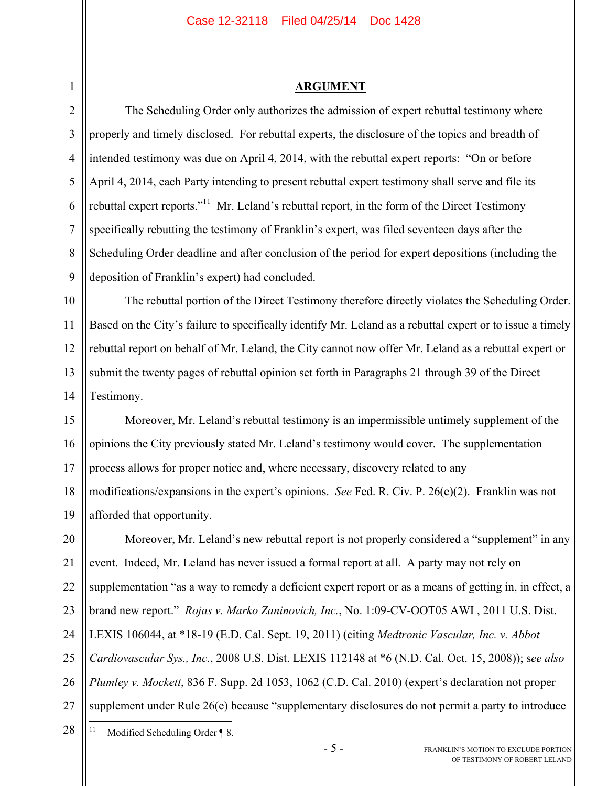#### **ARGUMENT**

2 3 4 5 6 7 8 9 The Scheduling Order only authorizes the admission of expert rebuttal testimony where properly and timely disclosed. For rebuttal experts, the disclosure of the topics and breadth of intended testimony was due on April 4, 2014, with the rebuttal expert reports: "On or before April 4, 2014, each Party intending to present rebuttal expert testimony shall serve and file its rebuttal expert reports."<sup>11</sup> Mr. Leland's rebuttal report, in the form of the Direct Testimony specifically rebutting the testimony of Franklin's expert, was filed seventeen days after the Scheduling Order deadline and after conclusion of the period for expert depositions (including the deposition of Franklin's expert) had concluded.

10 11 12 13 14 The rebuttal portion of the Direct Testimony therefore directly violates the Scheduling Order. Based on the City's failure to specifically identify Mr. Leland as a rebuttal expert or to issue a timely rebuttal report on behalf of Mr. Leland, the City cannot now offer Mr. Leland as a rebuttal expert or submit the twenty pages of rebuttal opinion set forth in Paragraphs 21 through 39 of the Direct Testimony.

15 16 17 18 19 Moreover, Mr. Leland's rebuttal testimony is an impermissible untimely supplement of the opinions the City previously stated Mr. Leland's testimony would cover. The supplementation process allows for proper notice and, where necessary, discovery related to any modifications/expansions in the expert's opinions. *See* Fed. R. Civ. P. 26(e)(2). Franklin was not afforded that opportunity.

20 21 22 23 24 25 26 27 Moreover, Mr. Leland's new rebuttal report is not properly considered a "supplement" in any event. Indeed, Mr. Leland has never issued a formal report at all. A party may not rely on supplementation "as a way to remedy a deficient expert report or as a means of getting in, in effect, a brand new report." *Rojas v. Marko Zaninovich, Inc.*, No. 1:09-CV-OOT05 AWI , 2011 U.S. Dist. LEXIS 106044, at \*18-19 (E.D. Cal. Sept. 19, 2011) (citing *Medtronic Vascular, Inc. v. Abbot Cardiovascular Sys., Inc*., 2008 U.S. Dist. LEXIS 112148 at \*6 (N.D. Cal. Oct. 15, 2008)); s*ee also Plumley v. Mockett*, 836 F. Supp. 2d 1053, 1062 (C.D. Cal. 2010) (expert's declaration not proper supplement under Rule 26(e) because "supplementary disclosures do not permit a party to introduce

28  $11$ Modified Scheduling Order ¶ 8.

1